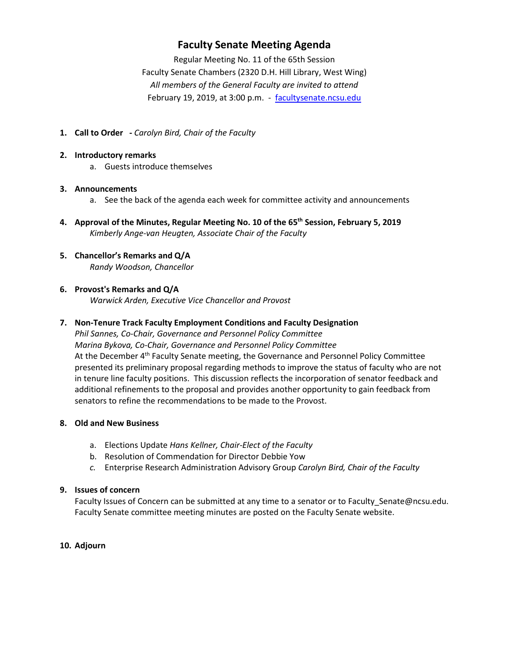## **Faculty Senate Meeting Agenda**

Regular Meeting No. 11 of the 65th Session Faculty Senate Chambers (2320 D.H. Hill Library, West Wing) *All members of the General Faculty are invited to attend* February 19, 2019, at 3:00 p.m. - [facultysenate.ncsu.edu](https://facultysenate.ncsu.edu/)

- **1. Call to Order -** *Carolyn Bird, Chair of the Faculty*
- **2. Introductory remarks**
	- a. Guests introduce themselves

## **3. Announcements**

- a. See the back of the agenda each week for committee activity and announcements
- **4. Approval of the Minutes, Regular Meeting No. 10 of the 65th Session, February 5, 2019** *Kimberly Ange-van Heugten, Associate Chair of the Faculty*
- **5. Chancellor's Remarks and Q/A** *Randy Woodson, Chancellor*

## **6. Provost's Remarks and Q/A**

*Warwick Arden, Executive Vice Chancellor and Provost*

## **7. Non-Tenure Track Faculty Employment Conditions and Faculty Designation**

*Phil Sannes, Co-Chair, Governance and Personnel Policy Committee Marina Bykova, Co-Chair, Governance and Personnel Policy Committee* At the December 4<sup>th</sup> Faculty Senate meeting, the Governance and Personnel Policy Committee presented its preliminary proposal regarding methods to improve the status of faculty who are not in tenure line faculty positions. This discussion reflects the incorporation of senator feedback and additional refinements to the proposal and provides another opportunity to gain feedback from senators to refine the recommendations to be made to the Provost.

#### **8. Old and New Business**

- a. Elections Update *Hans Kellner, Chair-Elect of the Faculty*
- b. Resolution of Commendation for Director Debbie Yow
- *c.* Enterprise Research Administration Advisory Group *Carolyn Bird, Chair of the Faculty*

#### **9. Issues of concern**

Faculty Issues of Concern can be submitted at any time to a senator or to Faculty\_Senate@ncsu.edu. Faculty Senate committee meeting minutes are posted on the Faculty Senate website.

## **10. Adjourn**